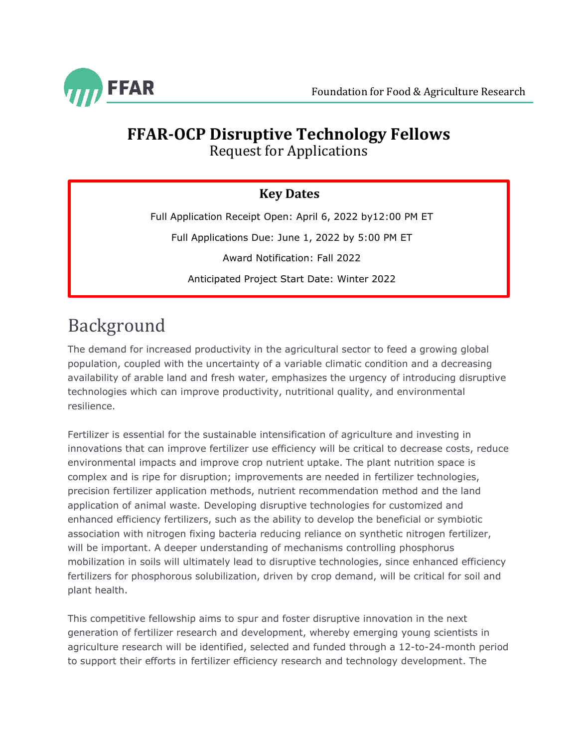

# **FFAR-OCP Disruptive Technology Fellows**

Request for Applications

### **Key Dates**

Full Application Receipt Open: April 6, 2022 by12:00 PM ET

Full Applications Due: June 1, 2022 by 5:00 PM ET

Award Notification: Fall 2022

Anticipated Project Start Date: Winter 2022

## Background

The demand for increased productivity in the agricultural sector to feed a growing global population, coupled with the uncertainty of a variable climatic condition and a decreasing availability of arable land and fresh water, emphasizes the urgency of introducing disruptive technologies which can improve productivity, nutritional quality, and environmental resilience.

Fertilizer is essential for the sustainable intensification of agriculture and investing in innovations that can improve fertilizer use efficiency will be critical to decrease costs, reduce environmental impacts and improve crop nutrient uptake. The plant nutrition space is complex and is ripe for disruption; improvements are needed in fertilizer technologies, precision fertilizer application methods, nutrient recommendation method and the land application of animal waste. Developing disruptive technologies for customized and enhanced efficiency fertilizers, such as the ability to develop the beneficial or symbiotic association with nitrogen fixing bacteria reducing reliance on synthetic nitrogen fertilizer, will be important. A deeper understanding of mechanisms controlling phosphorus mobilization in soils will ultimately lead to disruptive technologies, since enhanced efficiency fertilizers for phosphorous solubilization, driven by crop demand, will be critical for soil and plant health.

This competitive fellowship aims to spur and foster disruptive innovation in the next generation of fertilizer research and development, whereby emerging young scientists in agriculture research will be identified, selected and funded through a 12-to-24-month period to support their efforts in fertilizer efficiency research and technology development. The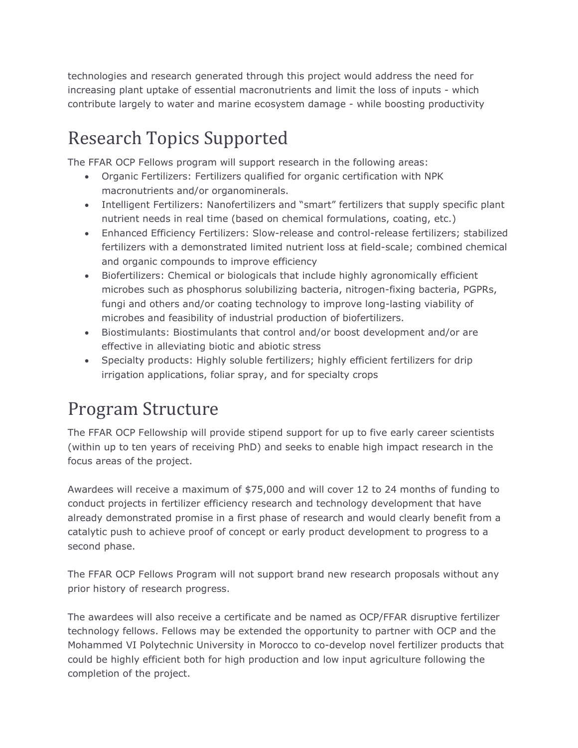technologies and research generated through this project would address the need for increasing plant uptake of essential macronutrients and limit the loss of inputs - which contribute largely to water and marine ecosystem damage - while boosting productivity

## Research Topics Supported

<span id="page-1-0"></span>The FFAR OCP Fellows program will support research in the following areas:

- Organic Fertilizers: Fertilizers qualified for organic certification with NPK macronutrients and/or organominerals.
- Intelligent Fertilizers: Nanofertilizers and "smart" fertilizers that supply specific plant nutrient needs in real time (based on chemical formulations, coating, etc.)
- Enhanced Efficiency Fertilizers: Slow-release and control-release fertilizers; stabilized fertilizers with a demonstrated limited nutrient loss at field-scale; combined chemical and organic compounds to improve efficiency
- Biofertilizers: Chemical or biologicals that include highly agronomically efficient microbes such as phosphorus solubilizing bacteria, nitrogen-fixing bacteria, PGPRs, fungi and others and/or coating technology to improve long-lasting viability of microbes and feasibility of industrial production of biofertilizers.
- Biostimulants: Biostimulants that control and/or boost development and/or are effective in alleviating biotic and abiotic stress
- Specialty products: Highly soluble fertilizers; highly efficient fertilizers for drip irrigation applications, foliar spray, and for specialty crops

## Program Structure

The FFAR OCP Fellowship will provide stipend support for up to five early career scientists (within up to ten years of receiving PhD) and seeks to enable high impact research in the focus areas of the project.

Awardees will receive a maximum of \$75,000 and will cover 12 to 24 months of funding to conduct projects in fertilizer efficiency research and technology development that have already demonstrated promise in a first phase of research and would clearly benefit from a catalytic push to achieve proof of concept or early product development to progress to a second phase.

The FFAR OCP Fellows Program will not support brand new research proposals without any prior history of research progress.

The awardees will also receive a certificate and be named as OCP/FFAR disruptive fertilizer technology fellows. Fellows may be extended the opportunity to partner with OCP and the Mohammed VI Polytechnic University in Morocco to co-develop novel fertilizer products that could be highly efficient both for high production and low input agriculture following the completion of the project.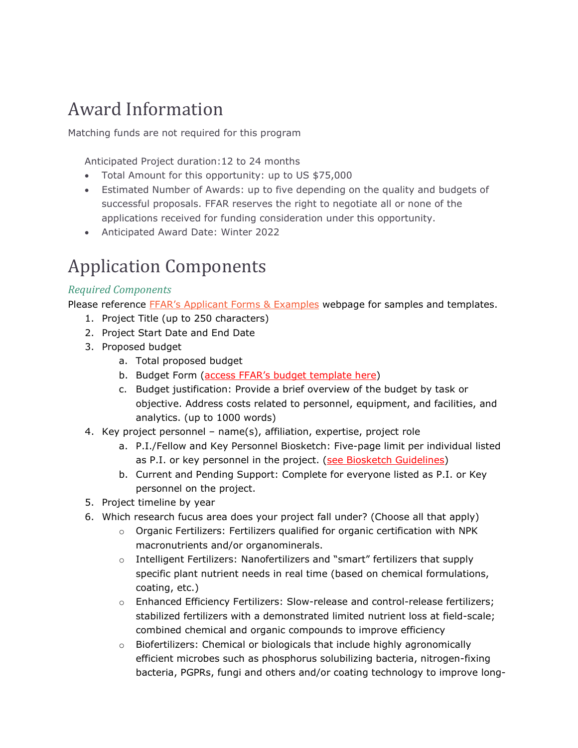### Award Information

Matching funds are not required for this program

Anticipated Project duration:12 to 24 months

- Total Amount for this opportunity: up to US \$75,000
- Estimated Number of Awards: up to five depending on the quality and budgets of successful proposals. FFAR reserves the right to negotiate all or none of the applications received for funding consideration under this opportunity.
- Anticipated Award Date: Winter 2022

### Application Components

### *Required Components*

Please reference **FFAR's Applicant Forms & Examples** webpage for samples and templates.

- 1. Project Title (up to 250 characters)
- 2. Project Start Date and End Date
- 3. Proposed budget
	- a. Total proposed budget
	- b. Budget Form [\(access FFAR's budget template here\)](https://foundationfar.org/grants-funding/resources/forms-and-examples/)
	- c. Budget justification: Provide a brief overview of the budget by task or objective. Address costs related to personnel, equipment, and facilities, and analytics. (up to 1000 words)
- 4. Key project personnel name(s), affiliation, expertise, project role
	- a. P.I./Fellow and Key Personnel Biosketch: Five-page limit per individual listed as P.I. or key personnel in the project. [\(see Biosketch Guidelines\)](https://foundationfar.org/grants-funding/resources/biosketch-guidelines/)
	- b. Current and Pending Support: Complete for everyone listed as P.I. or Key personnel on the project.
- 5. Project timeline by year
- 6. Which research fucus area does your project fall under? (Choose all that apply)
	- $\circ$  Organic Fertilizers: Fertilizers qualified for organic certification with NPK macronutrients and/or organominerals.
	- o Intelligent Fertilizers: Nanofertilizers and "smart" fertilizers that supply specific plant nutrient needs in real time (based on chemical formulations, coating, etc.)
	- o Enhanced Efficiency Fertilizers: Slow-release and control-release fertilizers; stabilized fertilizers with a demonstrated limited nutrient loss at field-scale; combined chemical and organic compounds to improve efficiency
	- o Biofertilizers: Chemical or biologicals that include highly agronomically efficient microbes such as phosphorus solubilizing bacteria, nitrogen-fixing bacteria, PGPRs, fungi and others and/or coating technology to improve long-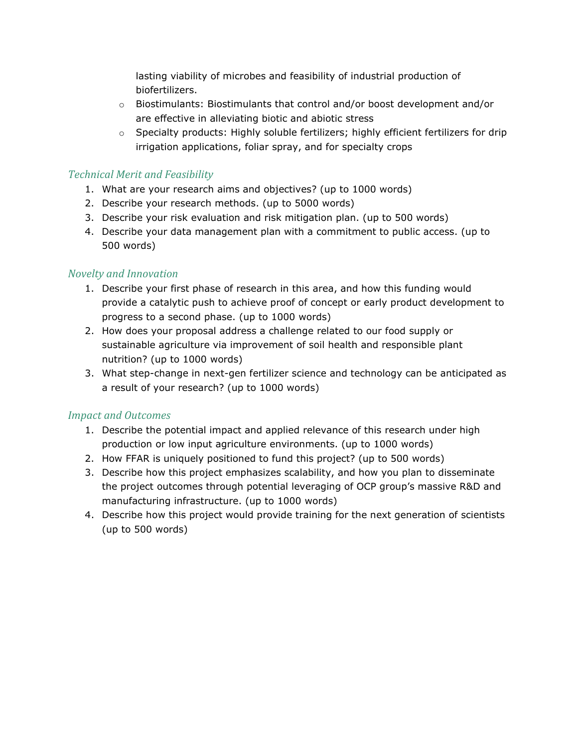lasting viability of microbes and feasibility of industrial production of biofertilizers.

- $\circ$  Biostimulants: Biostimulants that control and/or boost development and/or are effective in alleviating biotic and abiotic stress
- o Specialty products: Highly soluble fertilizers; highly efficient fertilizers for drip irrigation applications, foliar spray, and for specialty crops

#### *Technical Merit and Feasibility*

- 1. What are your research aims and objectives? (up to 1000 words)
- 2. Describe your research methods. (up to 5000 words)
- 3. Describe your risk evaluation and risk mitigation plan. (up to 500 words)
- 4. Describe your data management plan with a commitment to public access. (up to 500 words)

### *Novelty and Innovation*

- 1. Describe your first phase of research in this area, and how this funding would provide a catalytic push to achieve proof of concept or early product development to progress to a second phase. (up to 1000 words)
- 2. How does your proposal address a challenge related to our food supply or sustainable agriculture via improvement of soil health and responsible plant nutrition? (up to 1000 words)
- 3. What step-change in next-gen fertilizer science and technology can be anticipated as a result of your research? (up to 1000 words)

#### *Impact and Outcomes*

- 1. Describe the potential impact and applied relevance of this research under high production or low input agriculture environments. (up to 1000 words)
- 2. How FFAR is uniquely positioned to fund this project? (up to 500 words)
- 3. Describe how this project emphasizes scalability, and how you plan to disseminate the project outcomes through potential leveraging of OCP group's massive R&D and manufacturing infrastructure. (up to 1000 words)
- 4. Describe how this project would provide training for the next generation of scientists (up to 500 words)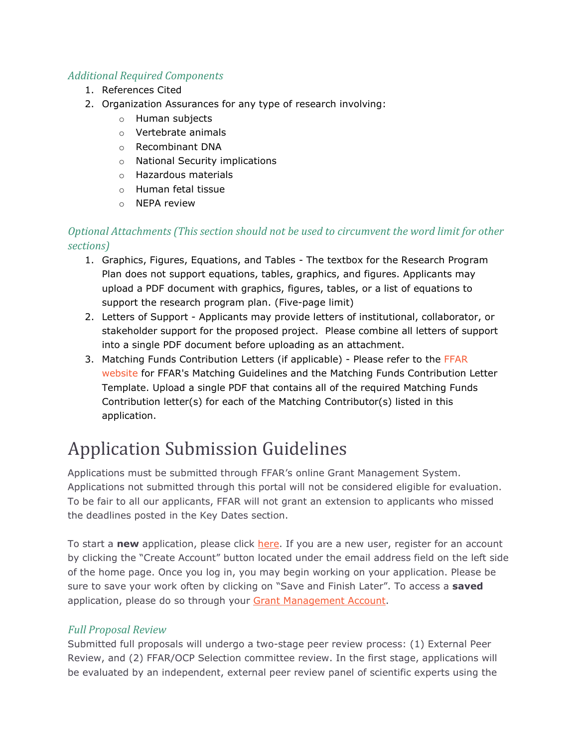### *Additional Required Components*

- 1. References Cited
- 2. Organization Assurances for any type of research involving:
	- o Human subjects
	- o Vertebrate animals
	- o Recombinant DNA
	- o National Security implications
	- o Hazardous materials
	- o Human fetal tissue
	- o NEPA review

### *Optional Attachments (This section should not be used to circumvent the word limit for other sections)*

- 1. Graphics, Figures, Equations, and Tables The textbox for the Research Program Plan does not support equations, tables, graphics, and figures. Applicants may upload a PDF document with graphics, figures, tables, or a list of equations to support the research program plan. (Five-page limit)
- 2. Letters of Support Applicants may provide letters of institutional, collaborator, or stakeholder support for the proposed project. Please combine all letters of support into a single PDF document before uploading as an attachment.
- 3. Matching Funds Contribution Letters (if applicable) Please refer to the [FFAR](https://foundationfar.org/grants-funding/resources/matching-funds/)  [website](https://foundationfar.org/grants-funding/resources/matching-funds/) for FFAR's Matching Guidelines and the Matching Funds Contribution Letter Template. Upload a single PDF that contains all of the required Matching Funds Contribution letter(s) for each of the Matching Contributor(s) listed in this application.

## Application Submission Guidelines

Applications must be submitted through FFAR's online Grant Management System. Applications not submitted through this portal will not be considered eligible for evaluation. To be fair to all our applicants, FFAR will not grant an extension to applicants who missed the deadlines posted in the Key Dates section.

To start a new application, please click [here.](https://www.grantrequest.com/SID_6242?SA=SNA&FID=35074) If you are a new user, register for an account by clicking the "Create Account" button located under the email address field on the left side of the home page. Once you log in, you may begin working on your application. Please be sure to save your work often by clicking on "Save and Finish Later". To access a **saved**  application, please do so through your [Grant Management Account.](https://www.grantrequest.com/accountmanager.aspx?SA=AM&sid=6242)

### *Full Proposal Review*

Submitted full proposals will undergo a two-stage peer review process: (1) External Peer Review, and (2) FFAR/OCP Selection committee review. In the first stage, applications will be evaluated by an independent, external peer review panel of scientific experts using the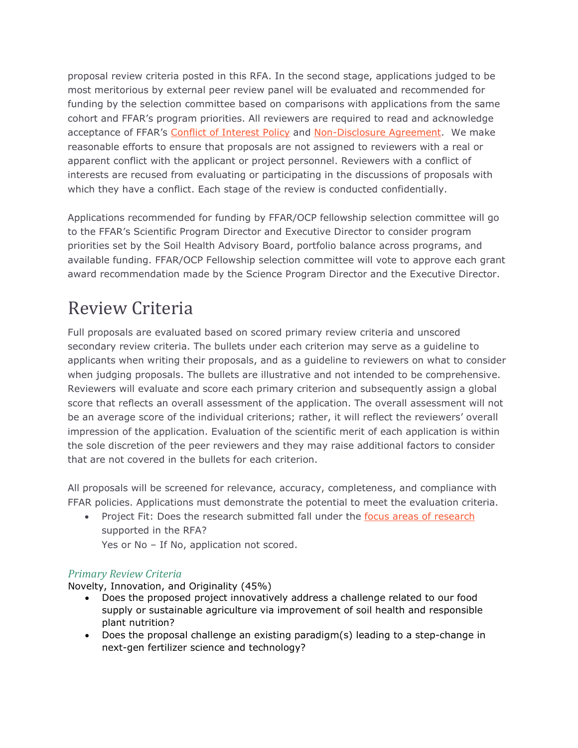proposal review criteria posted in this RFA. In the second stage, applications judged to be most meritorious by external peer review panel will be evaluated and recommended for funding by the selection committee based on comparisons with applications from the same cohort and FFAR's program priorities. All reviewers are required to read and acknowledge acceptance of FFAR's [Conflict of Interest Policy](https://foundationfar.org/grants-funding/reviewer-conflict-of-interest-policies/) and [Non-Disclosure Agreement.](https://foundationfar.org/grants-funding/reviewer-non-disclosure-agreement/) We make reasonable efforts to ensure that proposals are not assigned to reviewers with a real or apparent conflict with the applicant or project personnel. Reviewers with a conflict of interests are recused from evaluating or participating in the discussions of proposals with which they have a conflict. Each stage of the review is conducted confidentially.

Applications recommended for funding by FFAR/OCP fellowship selection committee will go to the FFAR's Scientific Program Director and Executive Director to consider program priorities set by the Soil Health Advisory Board, portfolio balance across programs, and available funding. FFAR/OCP Fellowship selection committee will vote to approve each grant award recommendation made by the Science Program Director and the Executive Director.

### Review Criteria

Full proposals are evaluated based on scored primary review criteria and unscored secondary review criteria. The bullets under each criterion may serve as a guideline to applicants when writing their proposals, and as a guideline to reviewers on what to consider when judging proposals. The bullets are illustrative and not intended to be comprehensive. Reviewers will evaluate and score each primary criterion and subsequently assign a global score that reflects an overall assessment of the application. The overall assessment will not be an average score of the individual criterions; rather, it will reflect the reviewers' overall impression of the application. Evaluation of the scientific merit of each application is within the sole discretion of the peer reviewers and they may raise additional factors to consider that are not covered in the bullets for each criterion.

All proposals will be screened for relevance, accuracy, completeness, and compliance with FFAR policies. Applications must demonstrate the potential to meet the evaluation criteria.

• Project Fit: Does the research submitted fall under the [focus areas of research](#page-1-0) supported in the RFA?

Yes or No - If No, application not scored.

### *Primary Review Criteria*

Novelty, Innovation, and Originality (45%)

- Does the proposed project innovatively address a challenge related to our food supply or sustainable agriculture via improvement of soil health and responsible plant nutrition?
- Does the proposal challenge an existing paradigm(s) leading to a step-change in next-gen fertilizer science and technology?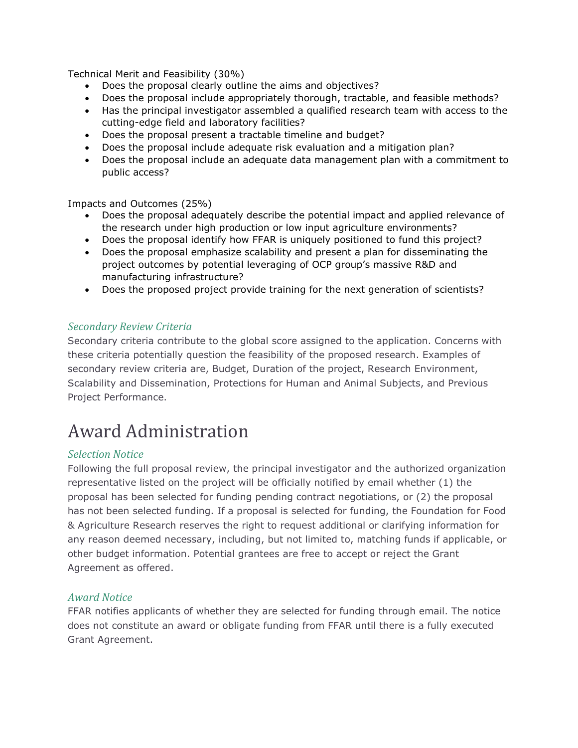Technical Merit and Feasibility (30%)

- Does the proposal clearly outline the aims and objectives?
- Does the proposal include appropriately thorough, tractable, and feasible methods?
- Has the principal investigator assembled a qualified research team with access to the cutting-edge field and laboratory facilities?
- Does the proposal present a tractable timeline and budget?
- Does the proposal include adequate risk evaluation and a mitigation plan?
- Does the proposal include an adequate data management plan with a commitment to public access?

Impacts and Outcomes (25%)

- Does the proposal adequately describe the potential impact and applied relevance of the research under high production or low input agriculture environments?
- Does the proposal identify how FFAR is uniquely positioned to fund this project?
- Does the proposal emphasize scalability and present a plan for disseminating the project outcomes by potential leveraging of OCP group's massive R&D and manufacturing infrastructure?
- Does the proposed project provide training for the next generation of scientists?

#### *Secondary Review Criteria*

Secondary criteria contribute to the global score assigned to the application. Concerns with these criteria potentially question the feasibility of the proposed research. Examples of secondary review criteria are, Budget, Duration of the project, Research Environment, Scalability and Dissemination, Protections for Human and Animal Subjects, and Previous Project Performance.

### Award Administration

#### *Selection Notice*

Following the full proposal review, the principal investigator and the authorized organization representative listed on the project will be officially notified by email whether (1) the proposal has been selected for funding pending contract negotiations, or (2) the proposal has not been selected funding. If a proposal is selected for funding, the Foundation for Food & Agriculture Research reserves the right to request additional or clarifying information for any reason deemed necessary, including, but not limited to, matching funds if applicable, or other budget information. Potential grantees are free to accept or reject the Grant Agreement as offered.

#### *Award Notice*

FFAR notifies applicants of whether they are selected for funding through email. The notice does not constitute an award or obligate funding from FFAR until there is a fully executed Grant Agreement.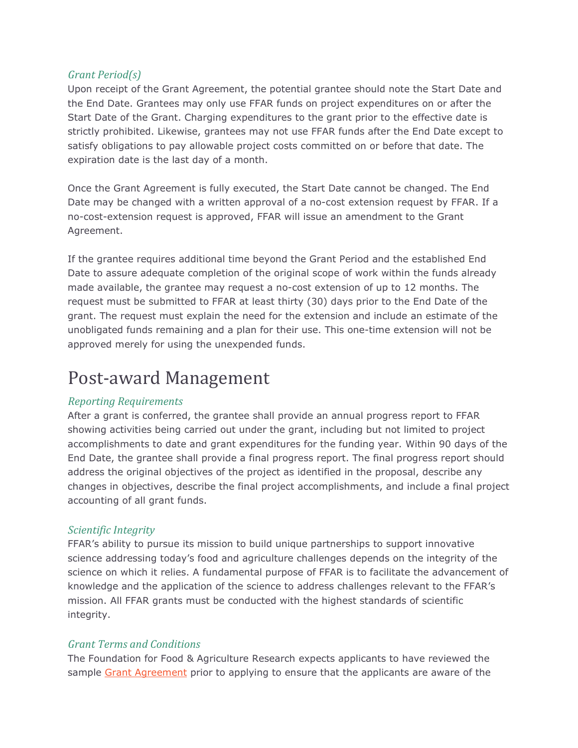#### *Grant Period(s)*

Upon receipt of the Grant Agreement, the potential grantee should note the Start Date and the End Date. Grantees may only use FFAR funds on project expenditures on or after the Start Date of the Grant. Charging expenditures to the grant prior to the effective date is strictly prohibited. Likewise, grantees may not use FFAR funds after the End Date except to satisfy obligations to pay allowable project costs committed on or before that date. The expiration date is the last day of a month.

Once the Grant Agreement is fully executed, the Start Date cannot be changed. The End Date may be changed with a written approval of a no-cost extension request by FFAR. If a no-cost-extension request is approved, FFAR will issue an amendment to the Grant Agreement.

If the grantee requires additional time beyond the Grant Period and the established End Date to assure adequate completion of the original scope of work within the funds already made available, the grantee may request a no-cost extension of up to 12 months. The request must be submitted to FFAR at least thirty (30) days prior to the End Date of the grant. The request must explain the need for the extension and include an estimate of the unobligated funds remaining and a plan for their use. This one-time extension will not be approved merely for using the unexpended funds.

### Post-award Management

#### *Reporting Requirements*

After a grant is conferred, the grantee shall provide an annual progress report to FFAR showing activities being carried out under the grant, including but not limited to project accomplishments to date and grant expenditures for the funding year. Within 90 days of the End Date, the grantee shall provide a final progress report. The final progress report should address the original objectives of the project as identified in the proposal, describe any changes in objectives, describe the final project accomplishments, and include a final project accounting of all grant funds.

#### *Scientific Integrity*

FFAR's ability to pursue its mission to build unique partnerships to support innovative science addressing today's food and agriculture challenges depends on the integrity of the science on which it relies. A fundamental purpose of FFAR is to facilitate the advancement of knowledge and the application of the science to address challenges relevant to the FFAR's mission. All FFAR grants must be conducted with the highest standards of scientific integrity.

#### *Grant Terms and Conditions*

The Foundation for Food & Agriculture Research expects applicants to have reviewed the sample [Grant Agreement](https://foundationfar.org/grants-funding/resources/forms-and-examples/) prior to applying to ensure that the applicants are aware of the